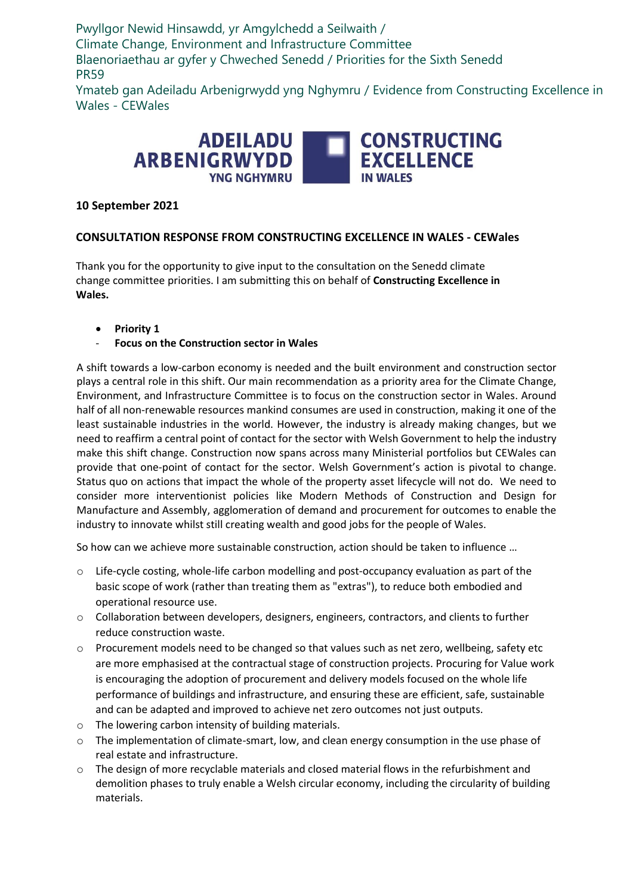Pwyllgor Newid Hinsawdd, yr Amgylchedd a Seilwaith / Climate Change, Environment and Infrastructure Committee Blaenoriaethau ar gyfer y Chweched Senedd / Priorities for the Sixth Senedd PR59

Ymateb gan Adeiladu Arbenigrwydd yng Nghymru / Evidence from Constructing Excellence in Wales - CEWales



# **10 September 2021**

## **CONSULTATION RESPONSE FROM CONSTRUCTING EXCELLENCE IN WALES - CEWales**

Thank you for the opportunity to give input to the consultation on the Senedd climate change committee priorities. I am submitting this on behalf of **Constructing Excellence in Wales.** 

- **Priority 1**
- **Focus on the Construction sector in Wales**

A shift towards a low-carbon economy is needed and the built environment and construction sector plays a central role in this shift. Our main recommendation as a priority area for the Climate Change, Environment, and Infrastructure Committee is to focus on the construction sector in Wales. Around half of all non-renewable resources mankind consumes are used in construction, making it one of the least sustainable industries in the world. However, the industry is already making changes, but we need to reaffirm a central point of contact for the sector with Welsh Government to help the industry make this shift change. Construction now spans across many Ministerial portfolios but CEWales can provide that one-point of contact for the sector. Welsh Government's action is pivotal to change. Status quo on actions that impact the whole of the property asset lifecycle will not do. We need to consider more interventionist policies like Modern Methods of Construction and Design for Manufacture and Assembly, agglomeration of demand and procurement for outcomes to enable the industry to innovate whilst still creating wealth and good jobs for the people of Wales.

So how can we achieve more sustainable construction, action should be taken to influence …

- $\circ$  Life-cycle costing, whole-life carbon modelling and post-occupancy evaluation as part of the basic scope of work (rather than treating them as "extras"), to reduce both embodied and operational resource use.
- $\circ$  Collaboration between developers, designers, engineers, contractors, and clients to further reduce construction waste.
- o Procurement models need to be changed so that values such as net zero, wellbeing, safety etc are more emphasised at the contractual stage of construction projects. Procuring for Value work is encouraging the adoption of procurement and delivery models focused on the whole life performance of buildings and infrastructure, and ensuring these are efficient, safe, sustainable and can be adapted and improved to achieve net zero outcomes not just outputs.
- o The lowering carbon intensity of building materials.
- $\circ$  The implementation of climate-smart, low, and clean energy consumption in the use phase of real estate and infrastructure.
- o The design of more recyclable materials and closed material flows in the refurbishment and demolition phases to truly enable a Welsh circular economy, including the circularity of building materials.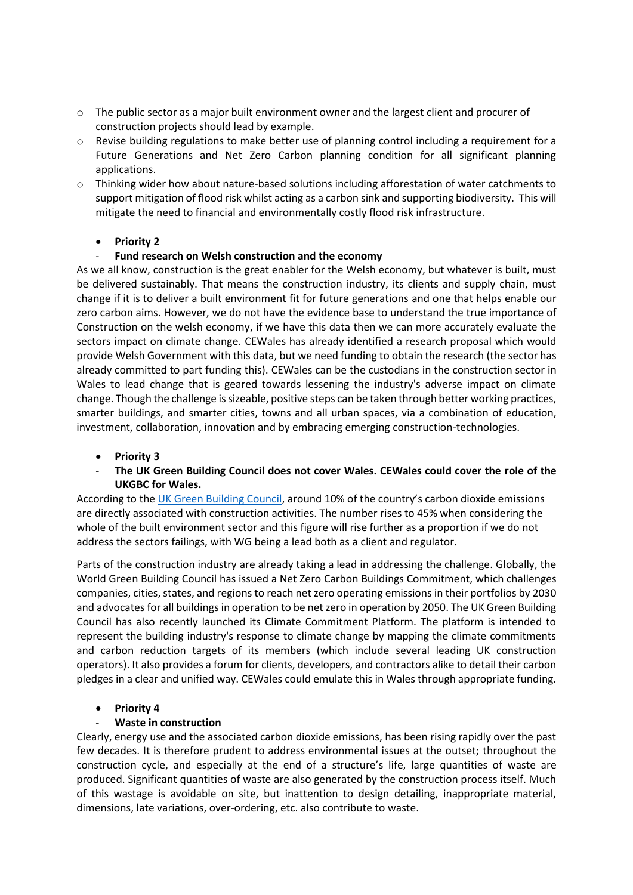- $\circ$  The public sector as a major built environment owner and the largest client and procurer of construction projects should lead by example.
- o Revise building regulations to make better use of planning control including a requirement for a Future Generations and Net Zero Carbon planning condition for all significant planning applications.
- $\circ$  Thinking wider how about nature-based solutions including afforestation of water catchments to support mitigation of flood risk whilst acting as a carbon sink and supporting biodiversity. This will mitigate the need to financial and environmentally costly flood risk infrastructure.

## • **Priority 2**

#### - **Fund research on Welsh construction and the economy**

As we all know, construction is the great enabler for the Welsh economy, but whatever is built, must be delivered sustainably. That means the construction industry, its clients and supply chain, must change if it is to deliver a built environment fit for future generations and one that helps enable our zero carbon aims. However, we do not have the evidence base to understand the true importance of Construction on the welsh economy, if we have this data then we can more accurately evaluate the sectors impact on climate change. CEWales has already identified a research proposal which would provide Welsh Government with this data, but we need funding to obtain the research (the sector has already committed to part funding this). CEWales can be the custodians in the construction sector in Wales to lead change that is geared towards lessening the industry's adverse impact on climate change. Though the challenge is sizeable, positive steps can be taken through better working practices, smarter buildings, and smarter cities, towns and all urban spaces, via a combination of education, investment, collaboration, innovation and by embracing emerging construction-technologies.

- **Priority 3**
- The UK Green Building Council does not cover Wales. CEWales could cover the role of the **UKGBC for Wales.**

According to th[e UK Green Building Council](https://www.ukgbc.org/solutions/?project_type1=&solution_type1=&impact_area%5B%5D=climate-change&project_stage1=), around 10% of the country's carbon dioxide emissions are directly associated with construction activities. The number rises to 45% when considering the whole of the built environment sector and this figure will rise further as a proportion if we do not address the sectors failings, with WG being a lead both as a client and regulator.

Parts of the construction industry are already taking a lead in addressing the challenge. Globally, the World Green Building Council has issued a Net Zero Carbon Buildings Commitment, which challenges companies, cities, states, and regions to reach net zero operating emissions in their portfolios by 2030 and advocates for all buildings in operation to be net zero in operation by 2050. The UK Green Building Council has also recently launched its Climate Commitment Platform. The platform is intended to represent the building industry's response to climate change by mapping the climate commitments and carbon reduction targets of its members (which include several leading UK construction operators). It also provides a forum for clients, developers, and contractors alike to detail their carbon pledges in a clear and unified way. CEWales could emulate this in Wales through appropriate funding.

## • **Priority 4**

## - **Waste in construction**

Clearly, energy use and the associated carbon dioxide emissions, has been rising rapidly over the past few decades. It is therefore prudent to address environmental issues at the outset; throughout the construction cycle, and especially at the end of a structure's life, large quantities of waste are produced. Significant quantities of waste are also generated by the construction process itself. Much of this wastage is avoidable on site, but inattention to design detailing, inappropriate material, dimensions, late variations, over-ordering, etc. also contribute to waste.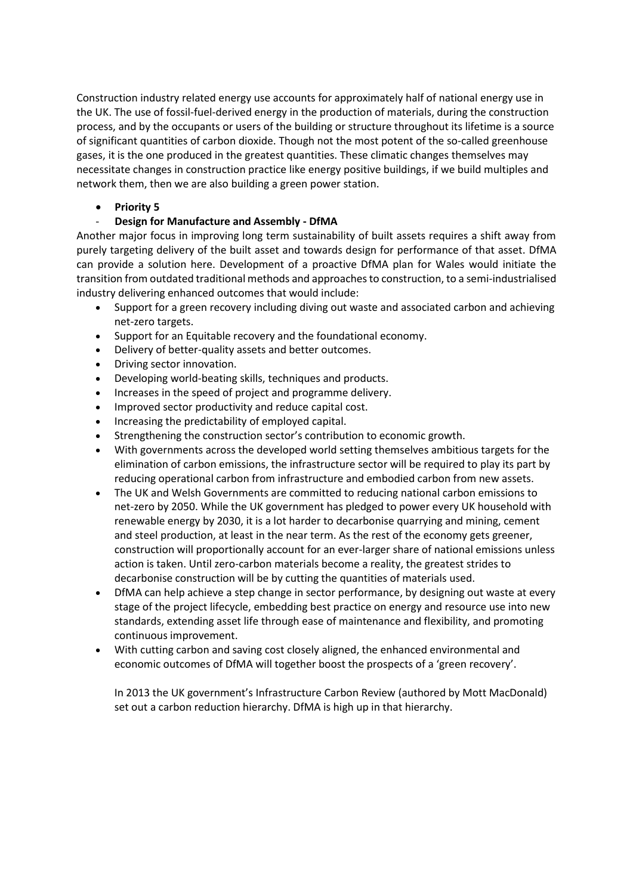Construction industry related energy use accounts for approximately half of national energy use in the UK. The use of fossil-fuel-derived energy in the production of materials, during the construction process, and by the occupants or users of the building or structure throughout its lifetime is a source of significant quantities of carbon dioxide. Though not the most potent of the so-called greenhouse gases, it is the one produced in the greatest quantities. These climatic changes themselves may necessitate changes in construction practice like energy positive buildings, if we build multiples and network them, then we are also building a green power station.

#### • **Priority 5**

#### - **Design for Manufacture and Assembly - DfMA**

Another major focus in improving long term sustainability of built assets requires a shift away from purely targeting delivery of the built asset and towards design for performance of that asset. DfMA can provide a solution here. Development of a proactive DfMA plan for Wales would initiate the transition from outdated traditional methods and approaches to construction, to a semi-industrialised industry delivering enhanced outcomes that would include:

- Support for a green recovery including diving out waste and associated carbon and achieving net-zero targets.
- Support for an Equitable recovery and the foundational economy.
- Delivery of better-quality assets and better outcomes.
- Driving sector innovation.
- Developing world-beating skills, techniques and products.
- Increases in the speed of project and programme delivery.
- Improved sector productivity and reduce capital cost.
- Increasing the predictability of employed capital.
- Strengthening the construction sector's contribution to economic growth.
- With governments across the developed world setting themselves ambitious targets for the elimination of carbon emissions, the infrastructure sector will be required to play its part by reducing operational carbon from infrastructure and embodied carbon from new assets.
- The UK and Welsh Governments are committed to reducing national carbon emissions to net-zero by 2050. While the UK government has pledged to power every UK household with renewable energy by 2030, it is a lot harder to decarbonise quarrying and mining, cement and steel production, at least in the near term. As the rest of the economy gets greener, construction will proportionally account for an ever-larger share of national emissions unless action is taken. Until zero-carbon materials become a reality, the greatest strides to decarbonise construction will be by cutting the quantities of materials used.
- DfMA can help achieve a step change in sector performance, by designing out waste at every stage of the project lifecycle, embedding best practice on energy and resource use into new standards, extending asset life through ease of maintenance and flexibility, and promoting continuous improvement.
- With cutting carbon and saving cost closely aligned, the enhanced environmental and economic outcomes of DfMA will together boost the prospects of a 'green recovery'.

In 2013 the UK government's Infrastructure Carbon Review (authored by Mott MacDonald) set out a carbon reduction hierarchy. DfMA is high up in that hierarchy.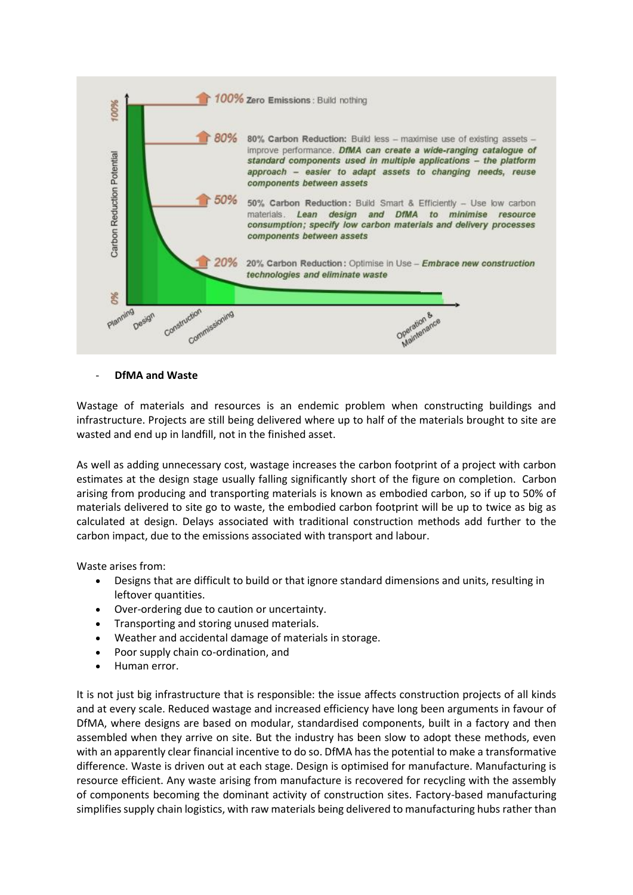

- **DfMA and Waste**

Wastage of materials and resources is an endemic problem when constructing buildings and infrastructure. Projects are still being delivered where up to half of the materials brought to site are wasted and end up in landfill, not in the finished asset.

As well as adding unnecessary cost, wastage increases the carbon footprint of a project with carbon estimates at the design stage usually falling significantly short of the figure on completion. Carbon arising from producing and transporting materials is known as embodied carbon, so if up to 50% of materials delivered to site go to waste, the embodied carbon footprint will be up to twice as big as calculated at design. Delays associated with traditional construction methods add further to the carbon impact, due to the emissions associated with transport and labour.

Waste arises from:

- Designs that are difficult to build or that ignore standard dimensions and units, resulting in leftover quantities.
- Over-ordering due to caution or uncertainty.
- Transporting and storing unused materials.
- Weather and accidental damage of materials in storage.
- Poor supply chain co-ordination, and
- Human error.

It is not just big infrastructure that is responsible: the issue affects construction projects of all kinds and at every scale. Reduced wastage and increased efficiency have long been arguments in favour of DfMA, where designs are based on modular, standardised components, built in a factory and then assembled when they arrive on site. But the industry has been slow to adopt these methods, even with an apparently clear financial incentive to do so. DfMA has the potential to make a transformative difference. Waste is driven out at each stage. Design is optimised for manufacture. Manufacturing is resource efficient. Any waste arising from manufacture is recovered for recycling with the assembly of components becoming the dominant activity of construction sites. Factory-based manufacturing simplifies supply chain logistics, with raw materials being delivered to manufacturing hubs rather than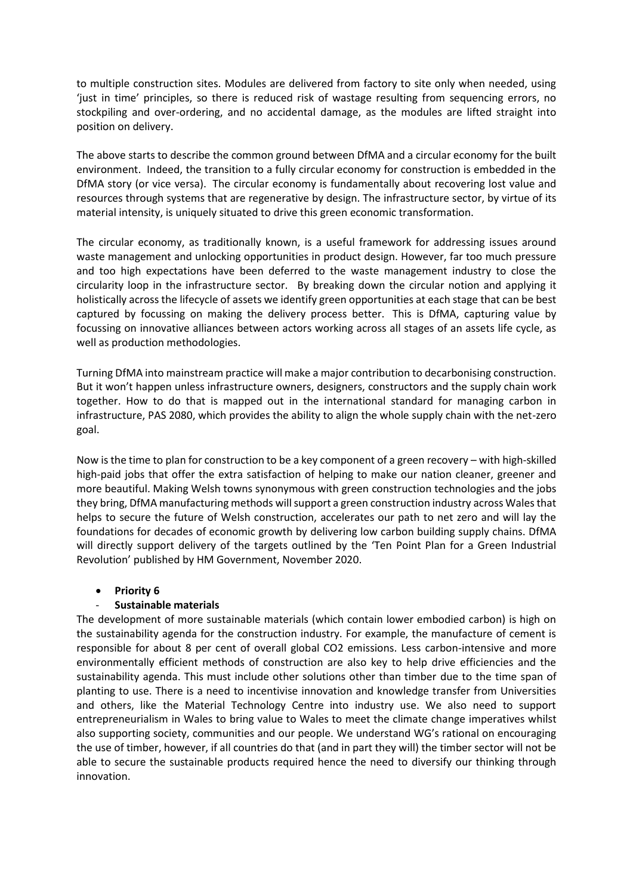to multiple construction sites. Modules are delivered from factory to site only when needed, using 'just in time' principles, so there is reduced risk of wastage resulting from sequencing errors, no stockpiling and over-ordering, and no accidental damage, as the modules are lifted straight into position on delivery.

The above starts to describe the common ground between DfMA and a circular economy for the built environment. Indeed, the transition to a fully circular economy for construction is embedded in the DfMA story (or vice versa). The circular economy is fundamentally about recovering lost value and resources through systems that are regenerative by design. The infrastructure sector, by virtue of its material intensity, is uniquely situated to drive this green economic transformation.

The circular economy, as traditionally known, is a useful framework for addressing issues around waste management and unlocking opportunities in product design. However, far too much pressure and too high expectations have been deferred to the waste management industry to close the circularity loop in the infrastructure sector. By breaking down the circular notion and applying it holistically across the lifecycle of assets we identify green opportunities at each stage that can be best captured by focussing on making the delivery process better. This is DfMA, capturing value by focussing on innovative alliances between actors working across all stages of an assets life cycle, as well as production methodologies.

Turning DfMA into mainstream practice will make a major contribution to decarbonising construction. But it won't happen unless infrastructure owners, designers, constructors and the supply chain work together. How to do that is mapped out in the international standard for managing carbon in infrastructure, PAS 2080, which provides the ability to align the whole supply chain with the net-zero goal.

Now is the time to plan for construction to be a key component of a green recovery – with high-skilled high-paid jobs that offer the extra satisfaction of helping to make our nation cleaner, greener and more beautiful. Making Welsh towns synonymous with green construction technologies and the jobs they bring, DfMA manufacturing methods will support a green construction industry across Wales that helps to secure the future of Welsh construction, accelerates our path to net zero and will lay the foundations for decades of economic growth by delivering low carbon building supply chains. DfMA will directly support delivery of the targets outlined by the 'Ten Point Plan for a Green Industrial Revolution' published by HM Government, November 2020.

## • **Priority 6**

## - **Sustainable materials**

The development of more sustainable materials (which contain lower embodied carbon) is high on the sustainability agenda for the construction industry. For example, the manufacture of cement is responsible for about 8 per cent of overall global CO2 emissions. Less carbon-intensive and more environmentally efficient methods of construction are also key to help drive efficiencies and the sustainability agenda. This must include other solutions other than timber due to the time span of planting to use. There is a need to incentivise innovation and knowledge transfer from Universities and others, like the Material Technology Centre into industry use. We also need to support entrepreneurialism in Wales to bring value to Wales to meet the climate change imperatives whilst also supporting society, communities and our people. We understand WG's rational on encouraging the use of timber, however, if all countries do that (and in part they will) the timber sector will not be able to secure the sustainable products required hence the need to diversify our thinking through innovation.